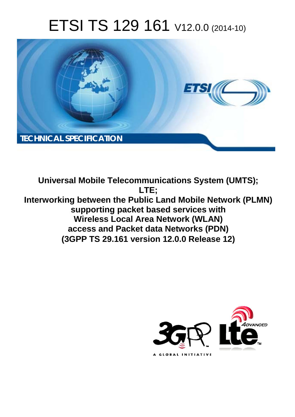# ETSI TS 129 161 V12.0.0 (2014-10)



**Universal Mobile Telecommunications System (UMTS); LTE; Interworking between the Public Land Mobile Network (PLMN) supporting packet based services with Wireless Local Area Network (WLAN) access and Packet data Networks (PDN) (3GPP TS 29.161 version 12.0.0 Release 12)** 

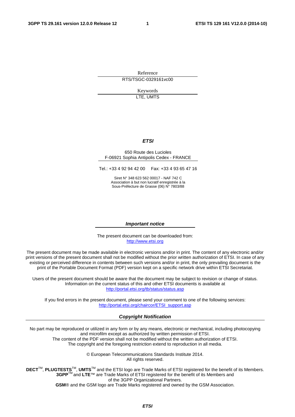Reference RTS/TSGC-0329161vc00

> Keywords LTE, UMTS

#### *ETSI*

#### 650 Route des Lucioles F-06921 Sophia Antipolis Cedex - FRANCE

Tel.: +33 4 92 94 42 00 Fax: +33 4 93 65 47 16

Siret N° 348 623 562 00017 - NAF 742 C Association à but non lucratif enregistrée à la Sous-Préfecture de Grasse (06) N° 7803/88

#### *Important notice*

The present document can be downloaded from: [http://www.etsi.org](http://www.etsi.org/)

The present document may be made available in electronic versions and/or in print. The content of any electronic and/or print versions of the present document shall not be modified without the prior written authorization of ETSI. In case of any existing or perceived difference in contents between such versions and/or in print, the only prevailing document is the print of the Portable Document Format (PDF) version kept on a specific network drive within ETSI Secretariat.

Users of the present document should be aware that the document may be subject to revision or change of status. Information on the current status of this and other ETSI documents is available at <http://portal.etsi.org/tb/status/status.asp>

If you find errors in the present document, please send your comment to one of the following services: [http://portal.etsi.org/chaircor/ETSI\\_support.asp](http://portal.etsi.org/chaircor/ETSI_support.asp)

#### *Copyright Notification*

No part may be reproduced or utilized in any form or by any means, electronic or mechanical, including photocopying and microfilm except as authorized by written permission of ETSI.

The content of the PDF version shall not be modified without the written authorization of ETSI. The copyright and the foregoing restriction extend to reproduction in all media.

> © European Telecommunications Standards Institute 2014. All rights reserved.

**DECT**TM, **PLUGTESTS**TM, **UMTS**TM and the ETSI logo are Trade Marks of ETSI registered for the benefit of its Members. **3GPP**TM and **LTE**™ are Trade Marks of ETSI registered for the benefit of its Members and of the 3GPP Organizational Partners.

**GSM**® and the GSM logo are Trade Marks registered and owned by the GSM Association.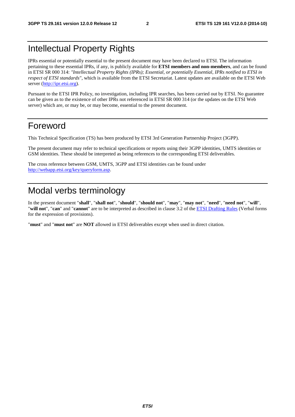### Intellectual Property Rights

IPRs essential or potentially essential to the present document may have been declared to ETSI. The information pertaining to these essential IPRs, if any, is publicly available for **ETSI members and non-members**, and can be found in ETSI SR 000 314: *"Intellectual Property Rights (IPRs); Essential, or potentially Essential, IPRs notified to ETSI in respect of ETSI standards"*, which is available from the ETSI Secretariat. Latest updates are available on the ETSI Web server [\(http://ipr.etsi.org](http://webapp.etsi.org/IPR/home.asp)).

Pursuant to the ETSI IPR Policy, no investigation, including IPR searches, has been carried out by ETSI. No guarantee can be given as to the existence of other IPRs not referenced in ETSI SR 000 314 (or the updates on the ETSI Web server) which are, or may be, or may become, essential to the present document.

### Foreword

This Technical Specification (TS) has been produced by ETSI 3rd Generation Partnership Project (3GPP).

The present document may refer to technical specifications or reports using their 3GPP identities, UMTS identities or GSM identities. These should be interpreted as being references to the corresponding ETSI deliverables.

The cross reference between GSM, UMTS, 3GPP and ETSI identities can be found under [http://webapp.etsi.org/key/queryform.asp.](http://webapp.etsi.org/key/queryform.asp)

## Modal verbs terminology

In the present document "**shall**", "**shall not**", "**should**", "**should not**", "**may**", "**may not**", "**need**", "**need not**", "**will**", "**will not**", "**can**" and "**cannot**" are to be interpreted as described in clause 3.2 of the [ETSI Drafting Rules](http://portal.etsi.org/Help/editHelp!/Howtostart/ETSIDraftingRules.aspx) (Verbal forms for the expression of provisions).

"**must**" and "**must not**" are **NOT** allowed in ETSI deliverables except when used in direct citation.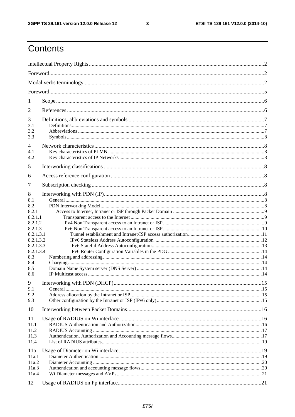$\mathbf{3}$ 

# Contents

| 1          |  |  |  |
|------------|--|--|--|
| 2          |  |  |  |
| 3          |  |  |  |
| 3.1        |  |  |  |
| 3.2        |  |  |  |
| 3.3        |  |  |  |
| 4<br>4.1   |  |  |  |
| 4.2        |  |  |  |
| 5          |  |  |  |
| 6          |  |  |  |
|            |  |  |  |
| 7          |  |  |  |
| 8          |  |  |  |
| 8.1<br>8.2 |  |  |  |
| 8.2.1      |  |  |  |
| 8.2.1.1    |  |  |  |
| 8.2.1.2    |  |  |  |
| 8.2.1.3    |  |  |  |
| 8.2.1.3.1  |  |  |  |
| 8.2.1.3.2  |  |  |  |
| 8.2.1.3.3  |  |  |  |
| 8.2.1.3.4  |  |  |  |
| 8.3<br>8.4 |  |  |  |
| 8.5        |  |  |  |
| 8.6        |  |  |  |
|            |  |  |  |
| 9          |  |  |  |
| 9.1        |  |  |  |
| 9.2        |  |  |  |
| 9.3        |  |  |  |
| 10         |  |  |  |
| 11         |  |  |  |
| 11.1       |  |  |  |
| 11.2       |  |  |  |
| 11.3       |  |  |  |
| 11.4       |  |  |  |
| 11a        |  |  |  |
| 11a.1      |  |  |  |
| 11a.2      |  |  |  |
| 11a.3      |  |  |  |
| 11a.4      |  |  |  |
| 12         |  |  |  |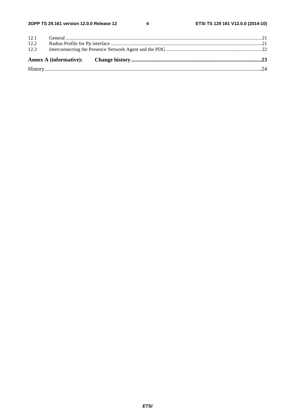$\overline{\mathbf{4}}$ 

| 12.1 |  |  |  |  |
|------|--|--|--|--|
| 12.2 |  |  |  |  |
| 12.3 |  |  |  |  |
|      |  |  |  |  |
|      |  |  |  |  |
|      |  |  |  |  |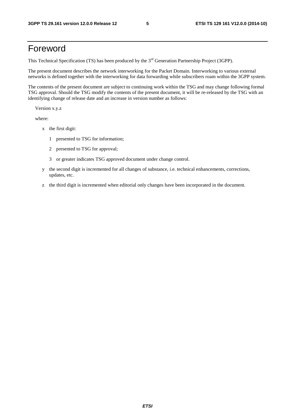### Foreword

This Technical Specification (TS) has been produced by the 3<sup>rd</sup> Generation Partnership Project (3GPP).

The present document describes the network interworking for the Packet Domain. Interworking to various external networks is defined together with the interworking for data forwarding while subscribers roam within the 3GPP system.

The contents of the present document are subject to continuing work within the TSG and may change following formal TSG approval. Should the TSG modify the contents of the present document, it will be re-released by the TSG with an identifying change of release date and an increase in version number as follows:

Version x.y.z

where:

- x the first digit:
	- 1 presented to TSG for information;
	- 2 presented to TSG for approval;
	- 3 or greater indicates TSG approved document under change control.
- y the second digit is incremented for all changes of substance, i.e. technical enhancements, corrections, updates, etc.
- z the third digit is incremented when editorial only changes have been incorporated in the document.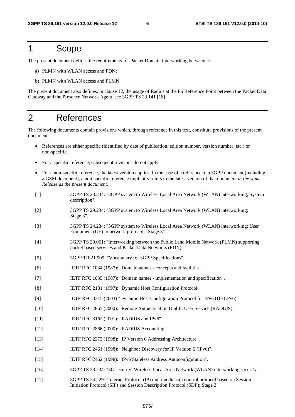### 1 Scope

The present document defines the requirements for Packet Domain interworking between a:

- a) PLMN with WLAN access and PDN;
- b) PLMN with WLAN access and PLMN.

The present document also defines, in clause 12, the usage of Radius at the Pp Reference Point between the Packet Data Gateway and the Presence Network Agent, see 3GPP TS 23.141 [18].

### 2 References

The following documents contain provisions which, through reference in this text, constitute provisions of the present document.

- References are either specific (identified by date of publication, edition number, version number, etc.) or non-specific.
- For a specific reference, subsequent revisions do not apply.
- For a non-specific reference, the latest version applies. In the case of a reference to a 3GPP document (including a GSM document), a non-specific reference implicitly refers to the latest version of that document *in the same Release as the present document*.
- [1] 3GPP TS 23.234: "3GPP system to Wireless Local Area Network (WLAN) interworking; System description".
- [2] 3GPP TS 29.234: "3GPP system to Wireless Local Area Network (WLAN) interworking; Stage 3".
- [3] 3GPP TS 24.234: "3GPP system to Wireless Local Area Network (WLAN) interworking; User Equipment (UE) to network protocols; Stage 3".
- [4] 3GPP TS 29.061: "Interworking between the Public Land Mobile Network (PLMN) supporting packet based services and Packet Data Networks (PDN)".
- [5] 3GPP TR 21.905: "Vocabulary for 3GPP Specifications".
- [6] IETF RFC 1034 (1987): "Domain names concepts and facilities".
- [7] IETF RFC 1035 (1987): "Domain names implementation and specification".
- [8] IETF RFC 2131 (1997): "Dynamic Host Configuration Protocol".
- [9] IETF RFC 3315 (2003) "Dynamic Host Configuration Protocol for IPv6 (DHCPv6)".
- [10] IETF RFC 2865 (2000): "Remote Authentication Dial In User Service (RADIUS)".
- [11] **IETF RFC 3162 (2001): "RADIUS and IPv6".**
- [12] IETF RFC 2866 (2000): "RADIUS Accounting".
- [13] IETF RFC 2373 (1998): "IP Version 6 Addressing Architecture".
- [14] IETF RFC 2461 (1998): "Neighbor Discovery for IP Version 6 (IPv6)".
- [15] IETF RFC 2462 (1998): "IPv6 Stateless Address Autoconfiguration".
- [16] 3GPP TS 33.234: "3G security; Wireless Local Area Network (WLAN) interworking security".
- [17] 3GPP TS 24.229: "Internet Protocol (IP) multimedia call control protocol based on Session Initiation Protocol (SIP) and Session Description Protocol (SDP); Stage 3".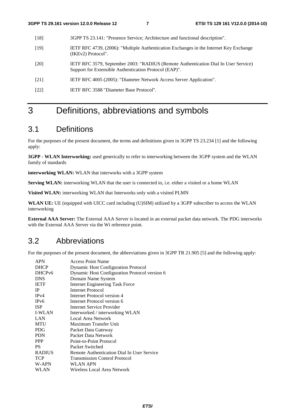- [18] 3GPP TS 23.141: "Presence Service; Architecture and functional description".
- [19] IETF RFC 4739, (2006): "Multiple Authentication Exchanges in the Internet Key Exchange (IKEv2) Protocol".
- [20] IETF RFC 3579, September 2003: "RADIUS (Remote Authentication Dial In User Service) Support for Extensible Authentication Protocol (EAP)".
- [21] IETF RFC 4005 (2005): "Diameter Network Access Server Application".
- [22] IETF RFC 3588 "Diameter Base Protocol".

# 3 Definitions, abbreviations and symbols

### 3.1 Definitions

For the purposes of the present document, the terms and definitions given in 3GPP TS 23.234 [1] and the following apply:

**3GPP - WLAN Interworking:** used generically to refer to interworking between the 3GPP system and the WLAN family of standards

**interworking WLAN:** WLAN that interworks with a 3GPP system

**Serving WLAN:** interworking WLAN that the user is connected to, i.e. either a visited or a home WLAN

**Visited WLAN:** interworking WLAN that Interworks only with a visited PLMN

**WLAN UE:** UE (equipped with UICC card including (U)SIM) utilized by a 3GPP subscriber to access the WLAN interworking

**External AAA Server:** The External AAA Server is located in an external packet data network. The PDG interworks with the External AAA Server via the Wi reference point.

### 3.2 Abbreviations

For the purposes of the present document, the abbreviations given in 3GPP TR 21.905 [5] and the following apply:

| <b>APN</b>         | <b>Access Point Name</b>                      |
|--------------------|-----------------------------------------------|
| <b>DHCP</b>        | <b>Dynamic Host Configuration Protocol</b>    |
| DHCP <sub>v6</sub> | Dynamic Host Configuration Protocol version 6 |
| <b>DNS</b>         | Domain Name System                            |
| <b>IETF</b>        | <b>Internet Engineering Task Force</b>        |
| <b>IP</b>          | Internet Protocol                             |
| IPv4               | Internet Protocol version 4                   |
| IP <sub>v</sub> 6  | Internet Protocol version 6                   |
| <b>ISP</b>         | Internet Service Provider                     |
| <b>I-WLAN</b>      | Interworked / interworking WLAN               |
| LAN                | Local Area Network                            |
| <b>MTU</b>         | Maximum Transfer Unit                         |
| <b>PDG</b>         | Packet Data Gateway                           |
| <b>PDN</b>         | Packet Data Network                           |
| <b>PPP</b>         | Point-to-Point Protocol                       |
| <b>PS</b>          | Packet Switched                               |
| <b>RADIUS</b>      | Remote Authentication Dial In User Service    |
| <b>TCP</b>         | <b>Transmission Control Protocol</b>          |
| W-APN              | WLAN APN                                      |
| WLAN               | Wireless Local Area Network                   |
|                    |                                               |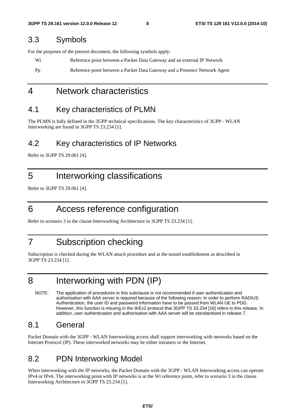### 3.3 Symbols

For the purposes of the present document, the following symbols apply:

Wi Reference point between a Packet Data Gateway and an external IP Network

Pp Reference point between a Packet Data Gateway and a Presence Network Agent

### 4 Network characteristics

### 4.1 Key characteristics of PLMN

The PLMN is fully defined in the 3GPP technical specifications. The key characteristics of 3GPP - WLAN Interworking are found in 3GPP TS 23.234 [1].

### 4.2 Key characteristics of IP Networks

Refer to 3GPP TS 29.061 [4].

### 5 Interworking classifications

Refer to 3GPP TS 29.061 [4].

### 6 Access reference configuration

Refer to scenario 3 in the clause Interworking Architecture in 3GPP TS 23.234 [1].

### 7 Subscription checking

Subscription is checked during the WLAN attach procedure and at the tunnel establishment as described in 3GPP TS 23.234 [1].

# 8 Interworking with PDN (IP)

NOTE: The application of procedures in this subclause is not recommended if user authentication and authorisation with AAA server is required because of the following reason: In order to perform RADIUS Authentication, the user ID and password information have to be passed from WLAN UE to PDG. However, this function is missing in the IKEv2 protocol that 3GPP TS 33.234 [16] refers in this release. In addition, user authentication and authorisation with AAA server will be standardised in release 7.

### 8.1 General

Packet Domain with the 3GPP - WLAN Interworking access shall support interworking with networks based on the Internet Protocol (IP). These interworked networks may be either intranets or the Internet.

### 8.2 PDN Interworking Model

When interworking with the IP networks, the Packet Domain with the 3GPP - WLAN Interworking access can operate IPv4 or IPv6. The interworking point with IP networks is at the Wi reference point, refer to scenario 3 in the clause Interworking Architecture in 3GPP TS 23.234 [1].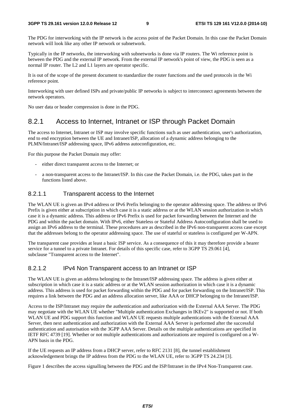The PDG for interworking with the IP network is the access point of the Packet Domain. In this case the Packet Domain network will look like any other IP network or subnetwork.

Typically in the IP networks, the interworking with subnetworks is done via IP routers. The Wi reference point is between the PDG and the external IP network. From the external IP network's point of view, the PDG is seen as a normal IP router. The L2 and L1 layers are operator specific.

It is out of the scope of the present document to standardize the router functions and the used protocols in the Wi reference point.

Interworking with user defined ISPs and private/public IP networks is subject to interconnect agreements between the network operators.

No user data or header compression is done in the PDG.

#### 8.2.1 Access to Internet, Intranet or ISP through Packet Domain

The access to Internet, Intranet or ISP may involve specific functions such as user authentication, user's authorization, end to end encryption between the UE and Intranet/ISP, allocation of a dynamic address belonging to the PLMN/Intranet/ISP addressing space, IPv6 address autoconfiguration, etc.

For this purpose the Packet Domain may offer:

- either direct transparent access to the Internet; or
- a non-transparent access to the Intranet/ISP. In this case the Packet Domain, i.e. the PDG, takes part in the functions listed above.

#### 8.2.1.1 Transparent access to the Internet

The WLAN UE is given an IPv4 address or IPv6 Prefix belonging to the operator addressing space. The address or IPv6 Prefix is given either at subscription in which case it is a static address or at the WLAN session authorization in which case it is a dynamic address. This address or IPv6 Prefix is used for packet forwarding between the Internet and the PDG and within the packet domain. With IPv6, either Stateless or Stateful Address Autoconfiguration shall be used to assign an IPv6 address to the terminal. These procedures are as described in the IPv6 non-transparent access case except that the addresses belong to the operator addressing space. The use of stateful or stateless is configured per W-APN.

The transparent case provides at least a basic ISP service. As a consequence of this it may therefore provide a bearer service for a tunnel to a private Intranet. For details of this specific case, refer to 3GPP TS 29.061 [4], subclause "Transparent access to the Internet".

#### 8.2.1.2 IPv4 Non Transparent access to an Intranet or ISP

The WLAN UE is given an address belonging to the Intranet/ISP addressing space. The address is given either at subscription in which case it is a static address or at the WLAN session authorization in which case it is a dynamic address. This address is used for packet forwarding within the PDG and for packet forwarding on the Intranet/ISP. This requires a link between the PDG and an address allocation server, like AAA or DHCP belonging to the Intranet/ISP.

Access to the ISP/Intranet may require the authentication and authorization with the External AAA Server. The PDG may negotiate with the WLAN UE whether "Multiple authentication Exchanges in IKEv2" is supported or not. If both WLAN UE and PDG support this function and WLAN UE requests multiple authentications with the External AAA Server, then next authentication and authorization with the External AAA Server is performed after the successful authentication and autorisation with the 3GPP AAA Server. Details on the multiple authentications are specified in IETF RFC 4739 [19]. Whether or not multiple authentications and authorizations are required is configured on a W-APN basis in the PDG.

If the UE requests an IP address from a DHCP server, refer to RFC 2131 [8], the tunnel establishment acknowledgement brings the IP address from the PDG to the WLAN UE, refer to 3GPP TS 24.234 [3].

Figure 1 describes the access signalling between the PDG and the ISP/Intranet in the IPv4 Non-Transparent case.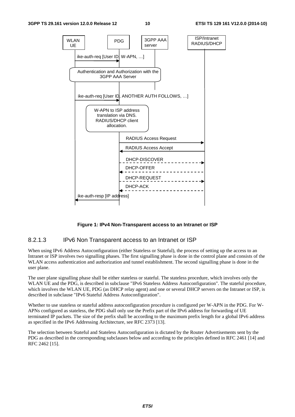

#### **Figure 1: IPv4 Non-Transparent access to an Intranet or ISP**

#### 8.2.1.3 IPv6 Non Transparent access to an Intranet or ISP

When using IPv6 Address Autoconfiguration (either Stateless or Stateful), the process of setting up the access to an Intranet or ISP involves two signalling phases. The first signalling phase is done in the control plane and consists of the WLAN access authentication and authorization and tunnel establishment. The second signalling phase is done in the user plane.

The user plane signalling phase shall be either stateless or stateful. The stateless procedure, which involves only the WLAN UE and the PDG, is described in subclause "IPv6 Stateless Address Autoconfiguration". The stateful procedure, which involves the WLAN UE, PDG (as DHCP relay agent) and one or several DHCP servers on the Intranet or ISP, is described in subclause "IPv6 Stateful Address Autoconfiguration".

Whether to use stateless or stateful address autoconfiguration procedure is configured per W-APN in the PDG. For W-APNs configured as stateless, the PDG shall only use the Prefix part of the IPv6 address for forwarding of UE terminated IP packets. The size of the prefix shall be according to the maximum prefix length for a global IPv6 address as specified in the IPv6 Addressing Architecture, see RFC 2373 [13].

The selection between Stateful and Stateless Autoconfiguration is dictated by the Router Advertisements sent by the PDG as described in the corresponding subclauses below and according to the principles defined in RFC 2461 [14] and RFC 2462 [15].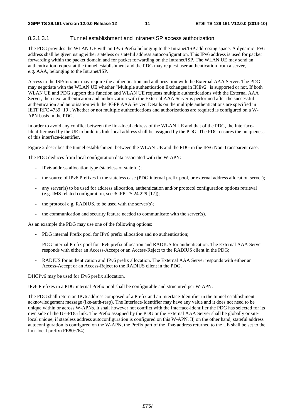#### 8.2.1.3.1 Tunnel establishment and Intranet/ISP access authorization

The PDG provides the WLAN UE with an IPv6 Prefix belonging to the Intranet/ISP addressing space. A dynamic IPv6 address shall be given using either stateless or stateful address autoconfiguration. This IPv6 address is used for packet forwarding within the packet domain and for packet forwarding on the Intranet/ISP. The WLAN UE may send an authentication request at the tunnel establishment and the PDG may request user authentication from a server, e.g. AAA, belonging to the Intranet/ISP.

Access to the ISP/Intranet may require the authentication and authorization with the External AAA Server. The PDG may negotiate with the WLAN UE whether "Multiple authentication Exchanges in IKEv2" is supported or not. If both WLAN UE and PDG support this function and WLAN UE requests multiple authentications with the External AAA Server, then next authentication and authorization with the External AAA Server is performed after the successful authentication and autorisation with the 3GPP AAA Server. Details on the multiple authentications are specified in IETF RFC 4739 [19]. Whether or not multiple authentications and authorizations are required is configured on a W-APN basis in the PDG.

In order to avoid any conflict between the link-local address of the WLAN UE and that of the PDG, the Interface-Identifier used by the UE to build its link-local address shall be assigned by the PDG. The PDG ensures the uniqueness of this interface-identifier.

Figure 2 describes the tunnel establishment between the WLAN UE and the PDG in the IPv6 Non-Transparent case.

The PDG deduces from local configuration data associated with the W-APN:

- IPv6 address allocation type (stateless or stateful);
- the source of IPv6 Prefixes in the stateless case (PDG internal prefix pool, or external address allocation server);
- any server(s) to be used for address allocation, authentication and/or protocol configuration options retrieval (e.g. IMS related configuration, see 3GPP TS 24.229 [17]);
- the protocol e.g. RADIUS, to be used with the server(s);
- the communication and security feature needed to communicate with the server(s).

As an example the PDG may use one of the following options:

- PDG internal Prefix pool for IPv6 prefix allocation and no authentication;
- PDG internal Prefix pool for IPv6 prefix allocation and RADIUS for authentication. The External AAA Server responds with either an Access-Accept or an Access-Reject to the RADIUS client in the PDG;
- RADIUS for authentication and IPv6 prefix allocation. The External AAA Server responds with either an Access-Accept or an Access-Reject to the RADIUS client in the PDG.

DHCPv6 may be used for IPv6 prefix allocation.

IPv6 Prefixes in a PDG internal Prefix pool shall be configurable and structured per W-APN.

The PDG shall return an IPv6 address composed of a Prefix and an Interface-Identifier in the tunnel establishment acknowledgement message (ike-auth-resp). The Interface-Identifier may have any value and it does not need to be unique within or across W-APNs. It shall however not conflict with the Interface-Identifier the PDG has selected for its own side of the UE-PDG link. The Prefix assigned by the PDG or the External AAA Server shall be globally or sitelocal unique, if stateless address autoconfiguration is configured on this W-APN. If, on the other hand, stateful address autoconfiguration is configured on the W-APN, the Prefix part of the IPv6 address returned to the UE shall be set to the link-local prefix (FE80::/64).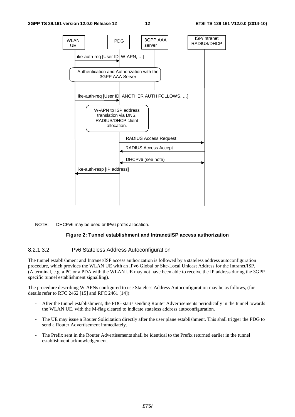

#### NOTE: DHCPv6 may be used or IPv6 prefix allocation.

#### **Figure 2: Tunnel establishment and Intranet/ISP access authorization**

#### 8.2.1.3.2 IPv6 Stateless Address Autoconfiguration

The tunnel establishment and Intranet/ISP access authorization is followed by a stateless address autoconfiguration procedure, which provides the WLAN UE with an IPv6 Global or Site-Local Unicast Address for the Intranet/ISP. (A terminal, e.g. a PC or a PDA with the WLAN UE may not have been able to receive the IP address during the 3GPP specific tunnel establishment signalling).

The procedure describing W-APNs configured to use Stateless Address Autoconfiguration may be as follows, (for details refer to RFC 2462 [15] and RFC 2461 [14]):

- After the tunnel establishment, the PDG starts sending Router Advertisements periodically in the tunnel towards the WLAN UE, with the M-flag cleared to indicate stateless address autoconfiguration.
- The UE may issue a Router Solicitation directly after the user plane establishment. This shall trigger the PDG to send a Router Advertisement immediately.
- The Prefix sent in the Router Advertisements shall be identical to the Prefix returned earlier in the tunnel establishment acknowledgement.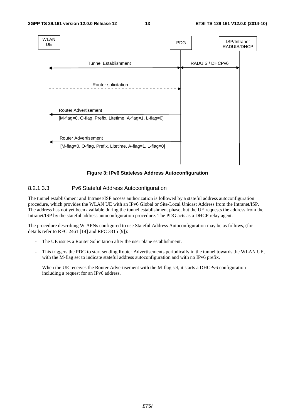

**Figure 3: IPv6 Stateless Address Autoconfiguration** 

#### 8.2.1.3.3 IPv6 Stateful Address Autoconfiguration

The tunnel establishment and Intranet/ISP access authorization is followed by a stateful address autoconfiguration procedure, which provides the WLAN UE with an IPv6 Global or Site-Local Unicast Address from the Intranet/ISP. The address has not yet been available during the tunnel establishment phase, but the UE requests the address from the Intranet/ISP by the stateful address autoconfiguration procedure. The PDG acts as a DHCP relay agent.

The procedure describing W-APNs configured to use Stateful Address Autoconfiguration may be as follows, (for details refer to RFC 2461 [14] and RFC 3315 [9]):

- The UE issues a Router Solicitation after the user plane establishment.
- This triggers the PDG to start sending Router Advertisements periodically in the tunnel towards the WLAN UE, with the M-flag set to indicate stateful address autoconfiguration and with no IPv6 prefix.
- When the UE receives the Router Advertisement with the M-flag set, it starts a DHCPv6 configuration including a request for an IPv6 address.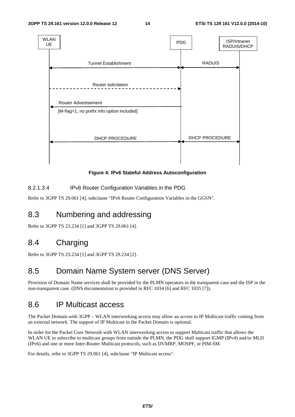

**Figure 4: IPv6 Stateful Address Autoconfiguration** 

#### 8.2.1.3.4 IPv6 Router Configuration Variables in the PDG

Refer to 3GPP TS 29.061 [4], subclause "IPv6 Router Configuration Variables in the GGSN".

### 8.3 Numbering and addressing

Refer to 3GPP TS 23.234 [1] and 3GPP TS 29.061 [4].

### 8.4 Charging

Refer to 3GPP TS 23.234 [1] and 3GPP TS 29.234 [2].

### 8.5 Domain Name System server (DNS Server)

Provision of Domain Name services shall be provided by the PLMN operators in the transparent case and the ISP in the non-transparent case. (DNS documentation is provided in RFC 1034 [6] and RFC 1035 [7]).

### 8.6 IP Multicast access

The Packet Domain with 3GPP – WLAN interworking access may allow an access to IP Multicast traffic coming from an external network. The support of IP Multicast in the Packet Domain is optional.

In order for the Packet Core Network with WLAN interworking access to support Multicast traffic that allows the WLAN UE to subscribe to multicast groups from outside the PLMN, the PDG shall support IGMP (IPv4) and/or MLD (IPv6) and one or more Inter-Router Multicast protocols, such as DVMRP, MOSPF, or PIM-SM.

For details, refer to 3GPP TS 29.061 [4], subclause "IP Multicast access".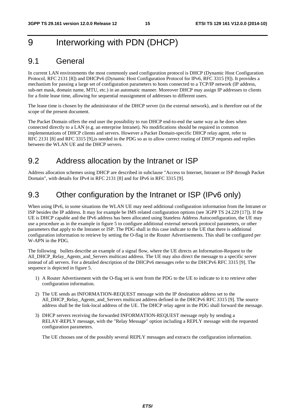# 9 Interworking with PDN (DHCP)

### 9.1 General

In current LAN environments the most commonly used configuration protocol is DHCP (Dynamic Host Configuration Protocol, RFC 2131 [8]) and DHCPv6 (Dynamic Host Configuration Protocol for IPv6, RFC 3315 [9]). It provides a mechanism for passing a large set of configuration parameters to hosts connected to a TCP/IP network (IP address, sub-net mask, domain name, MTU, etc.) in an automatic manner. Moreover DHCP may assign IP addresses to clients for a finite lease time, allowing for sequential reassignment of addresses to different users.

The lease time is chosen by the administrator of the DHCP server (in the external network), and is therefore out of the scope of the present document.

The Packet Domain offers the end user the possibility to run DHCP end-to-end the same way as he does when connected directly to a LAN (e.g. an enterprise Intranet). No modifications should be required in common implementations of DHCP clients and servers. However a Packet Domain-specific DHCP relay agent, refer to RFC 2131 [8] and RFC 3315 [9],is needed in the PDG so as to allow correct routing of DHCP requests and replies between the WLAN UE and the DHCP servers.

### 9.2 Address allocation by the Intranet or ISP

Address allocation schemes using DHCP are described in subclause "Access to Internet, Intranet or ISP through Packet Domain", with details for IPv4 in RFC 2131 [8] and for IPv6 in RFC 3315 [9].

### 9.3 Other configuration by the Intranet or ISP (IPv6 only)

When using IPv6, in some situations the WLAN UE may need additional configuration information from the Intranet or ISP besides the IP address. It may for example be IMS related configuration options (see 3GPP TS 24.229 [17]). If the UE is DHCP capable and the IPv6 address has been allocated using Stateless Address Autoconfiguration, the UE may use a procedure as in the example in figure 5 to configure additional external network protocol parameters, or other parameters that apply to the Intranet or ISP. The PDG shall in this case indicate to the UE that there is additional configuration information to retrieve by setting the O-flag in the Router Advertisements. This shall be configured per W-APN in the PDG.

The following bullets describe an example of a signal flow, where the UE directs an Information-Request to the All\_DHCP\_Relay\_Agents\_and\_Servers multicast address. The UE may also direct the message to a specific server instead of all servers. For a detailed description of the DHCPv6 messages refer to the DHCPv6 RFC 3315 [9]. The sequence is depicted in figure 5.

- 1) A Router Advertisement with the O-flag set is sent from the PDG to the UE to indicate to it to retrieve other configuration information.
- 2) The UE sends an INFORMATION-REQUEST message with the IP destination address set to the All\_DHCP\_Relay\_Agents\_and\_Servers multicast address defined in the DHCPv6 RFC 3315 [9]. The source address shall be the link-local address of the UE. The DHCP relay agent in the PDG shall forward the message.
- 3) DHCP servers receiving the forwarded INFORMATION-REQUEST message reply by sending a RELAY-REPLY message, with the "Relay Message" option including a REPLY message with the requested configuration parameters.

The UE chooses one of the possibly several REPLY messages and extracts the configuration information.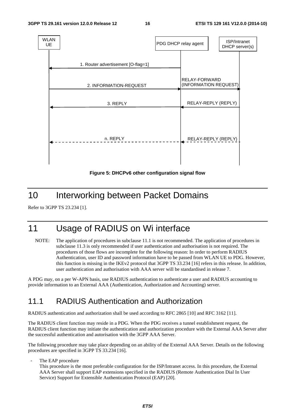

**Figure 5: DHCPv6 other configuration signal flow** 

### 10 Interworking between Packet Domains

Refer to 3GPP TS 23.234 [1].

# 11 Usage of RADIUS on Wi interface

NOTE: The application of procedures in subclause 11.1 is not recommended. The application of procedures in subclause 11.3 is only recommended if user authentication and authorisation is not required. The procedures of those flows are incomplete for the following reason: In order to perform RADIUS Authentication, user ID and password information have to be passed from WLAN UE to PDG. However, this function is missing in the IKEv2 protocol that 3GPP TS 33.234 [16] refers in this release. In addition, user authentication and authorisation with AAA server will be standardised in release 7.

A PDG may, on a per W-APN basis, use RADIUS authentication to authenticate a user and RADIUS accounting to provide information to an External AAA (Authentication, Authorization and Accounting) server.

### 11.1 RADIUS Authentication and Authorization

RADIUS authentication and authorization shall be used according to RFC 2865 [10] and RFC 3162 [11].

The RADIUS client function may reside in a PDG. When the PDG receives a tunnel establishment request, the RADIUS client function may initiate the authentication and authorization procedure with the External AAA Server after the successful authentication and autorisation with the 3GPP AAA Server.

The following procedure may take place depending on an ability of the External AAA Server. Details on the following procedures are specified in 3GPP TS 33.234 [16].

The EAP procedure

This procedure is the most preferable configuration for the ISP/Intranet access. In this procedure, the External AAA Server shall support EAP extensions specified in the RADIUS (Remote Authentication Dial In User Service) Support for Extensible Authentication Protocol (EAP) [20].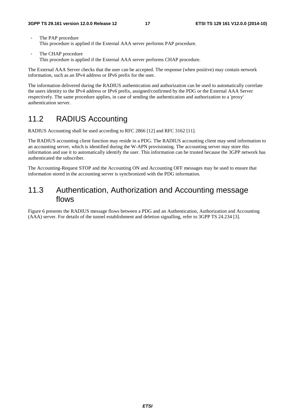- The PAP procedure This procedure is applied if the External AAA server performs PAP procedure.
- The CHAP procedure This procedure is applied if the External AAA server performs CHAP procedure.

The External AAA Server checks that the user can be accepted. The response (when positive) may contain network information, such as an IPv4 address or IPv6 prefix for the user.

The information delivered during the RADIUS authentication and authorization can be used to automatically correlate the users identity to the IPv4 address or IPv6 prefix, assigned/confirmed by the PDG or the External AAA Server respectively. The same procedure applies, in case of sending the authentication and authorization to a 'proxy' authentication server.

# 11.2 RADIUS Accounting

RADIUS Accounting shall be used according to RFC 2866 [12] and RFC 3162 [11].

The RADIUS accounting client function may reside in a PDG. The RADIUS accounting client may send information to an accounting server, which is identified during the W-APN provisioning. The accounting server may store this information and use it to automatically identify the user. This information can be trusted because the 3GPP network has authenticated the subscriber.

The Accounting-Request STOP and the Accounting ON and Accounting OFF messages may be used to ensure that information stored in the accounting server is synchronized with the PDG information.

### 11.3 Authentication, Authorization and Accounting message flows

Figure 6 presents the RADIUS message flows between a PDG and an Authentication, Authorization and Accounting (AAA) server. For details of the tunnel establishment and deletion signalling, refer to 3GPP TS 24.234 [3].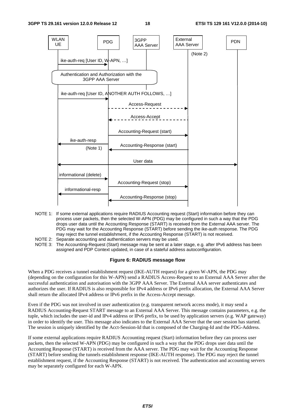

- NOTE 1: If some external applications require RADIUS Accounting request (Start) information before they can process user packets, then the selected W-APN (PDG) may be configured in such a way that the PDG drops user data until the Accounting Response (START) is received from the External AAA server. The PDG may wait for the Accounting Response (START) before sending the ike-auth response. The PDG may reject the tunnel establishment, if the Accounting Response (START) is not received.
- NOTE 2: Separate accounting and authentication servers may be used.<br>NOTE 3: The Accounting-Request (Start) message may be sent at a late
- The Accounting-Request (Start) message may be sent at a later stage, e.g. after IPv6 address has been assigned and PDP Context updated, in case of a stateful address autoconfiguration.

#### **Figure 6: RADIUS message flow**

When a PDG receives a tunnel establishment request (IKE-AUTH request) for a given W-APN, the PDG may (depending on the configuration for this W-APN) send a RADIUS Access-Request to an External AAA Server after the successful authentication and autorisation with the 3GPP AAA Server. The External AAA server authenticates and authorizes the user. If RADIUS is also responsible for IPv4 address or IPv6 prefix allocation, the External AAA Server shall return the allocated IPv4 address or IPv6 prefix in the Access-Accept message.

Even if the PDG was not involved in user authentication (e.g. transparent network access mode), it may send a RADIUS Accounting-Request START message to an External AAA Server. This message contains parameters, e.g. the tuple, which includes the user-id and IPv4 address or IPv6 prefix, to be used by application servers (e.g. WAP gateway) in order to identify the user. This message also indicates to the External AAA Server that the user session has started. The session is uniquely identified by the Acct-Session-Id that is composed of the Charging-Id and the PDG-Address.

If some external applications require RADIUS Accounting request (Start) information before they can process user packets, then the selected W-APN (PDG) may be configured in such a way that the PDG drops user data until the Accounting Response (START) is received from the AAA server. The PDG may wait for the Accounting Response (START) before sending the tunnels establishment response (IKE-AUTH response). The PDG may reject the tunnel establishment request, if the Accounting Response (START) is not received. The authentication and accounting servers may be separately configured for each W-APN.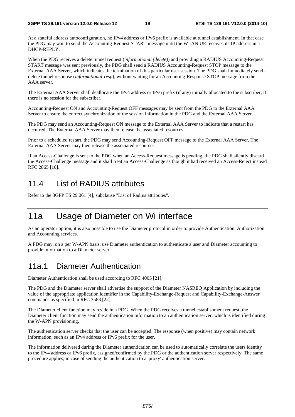At a stateful address autoconfiguration, no IPv4 address or IPv6 prefix is available at tunnel establishment. In that case the PDG may wait to send the Accounting-Request START message until the WLAN UE receives its IP address in a DHCP-REPLY.

When the PDG receives a delete tunnel request (*informational (delete)*) and providing a RADIUS Accounting-Request START message was sent previously, the PDG shall send a RADIUS Accounting-Request STOP message to the External AAA Server, which indicates the termination of this particular user session. The PDG shall immediately send a delete tunnel response (*informational-resp*), without waiting for an Accounting-Response STOP message from the AAA server.

The External AAA Server shall deallocate the IPv4 address or IPv6 prefix (if any) initially allocated to the subscriber, if there is no session for the subscriber.

Accounting-Request ON and Accounting-Request OFF messages may be sent from the PDG to the External AAA Server to ensure the correct synchronization of the session information in the PDG and the External AAA Server.

The PDG may send an Accounting-Request ON message to the External AAA Server to indicate that a restart has occurred. The External AAA Server may then release the associated resources.

Prior to a scheduled restart, the PDG may send Accounting-Request OFF message to the External AAA Server. The External AAA Server may then release the associated resources.

If an Access-Challenge is sent to the PDG when an Access-Request message is pending, the PDG shall silently discard the Access-Challenge message and it shall treat an Access-Challenge as though it had received an Access-Reject instead RFC 2865 [10].

### 11.4 List of RADIUS attributes

Refer to the 3GPP TS 29.061 [4], subclause "List of Radius attributes".

# 11a Usage of Diameter on Wi interface

As an operator option, it is also possible to use the Diameter protocol in order to provide Authentication, Authorization and Accounting services.

A PDG may, on a per W-APN basis, use Diameter authentication to authenticate a user and Diameter accounting to provide information to a Diameter server.

### 11a.1 Diameter Authentication

Diameter Authentication shall be used according to RFC 4005 [21].

The PDG and the Diameter server shall advertise the support of the Diameter NASREQ Application by including the value of the appropriate application identifier in the Capability-Exchange-Request and Capability-Exchange-Answer commands as specified in RFC 3588 [22].

The Diameter client function may reside in a PDG. When the PDG receives a tunnel establishment request, the Diameter client function may send the authentication information to an authentication server, which is identified during the W-APN provisioning.

The authentication server checks that the user can be accepted. The response (when positive) may contain network information, such as an IPv4 address or IPv6 prefix for the user.

The information delivered during the Diameter authentication can be used to automatically correlate the users identity to the IPv4 address or IPv6 prefix, assigned/confirmed by the PDG or the authentication server respectively. The same procedure applies, in case of sending the authentication to a 'proxy' authentication server.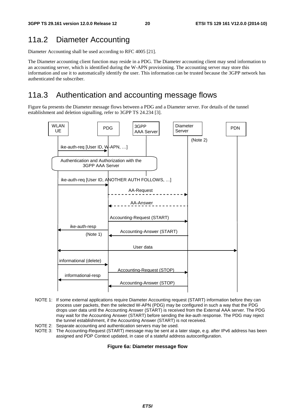### 11a.2 Diameter Accounting

Diameter Accounting shall be used according to RFC 4005 [21].

The Diameter accounting client function may reside in a PDG. The Diameter accounting client may send information to an accounting server, which is identified during the W-APN provisioning. The accounting server may store this information and use it to automatically identify the user. This information can be trusted because the 3GPP network has authenticated the subscriber.

### 11a.3 Authentication and accounting message flows

Figure 6a presents the Diameter message flows between a PDG and a Diameter server. For details of the tunnel establishment and deletion signalling, refer to 3GPP TS 24.234 [3].



- NOTE 1: If some external applications require Diameter Accounting request (START) information before they can process user packets, then the selected W-APN (PDG) may be configured in such a way that the PDG drops user data until the Accounting Answer (START) is received from the External AAA server. The PDG may wait for the Accounting Answer (START) before sending the ike-auth response. The PDG may reject the tunnel establishment, if the Accounting Answer (START) is not received.
- NOTE 2: Separate accounting and authentication servers may be used.
- NOTE 3: The Accounting-Request (START) message may be sent at a later stage, e.g. after IPv6 address has been assigned and PDP Context updated, in case of a stateful address autoconfiguration.

#### **Figure 6a: Diameter message flow**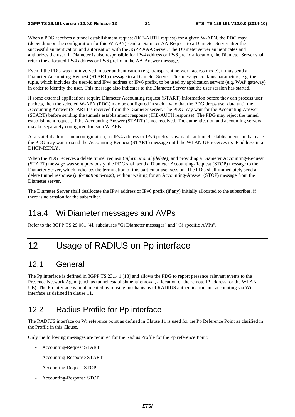When a PDG receives a tunnel establishment request (IKE-AUTH request) for a given W-APN, the PDG may (depending on the configuration for this W-APN) send a Diameter AA-Request to a Diameter Server after the successful authentication and autorisation with the 3GPP AAA Server. The Diameter server authenticates and authorizes the user. If Diameter is also responsible for IPv4 address or IPv6 prefix allocation, the Diameter Server shall return the allocated IPv4 address or IPv6 prefix in the AA-Answer message.

Even if the PDG was not involved in user authentication (e.g. transparent network access mode), it may send a Diameter Accounting-Request (START) message to a Diameter Server. This message contains parameters, e.g. the tuple, which includes the user-id and IPv4 address or IPv6 prefix, to be used by application servers (e.g. WAP gateway) in order to identify the user. This message also indicates to the Diameter Server that the user session has started.

If some external applications require Diameter Accounting request (START) information before they can process user packets, then the selected W-APN (PDG) may be configured in such a way that the PDG drops user data until the Accounting Answer (START) is received from the Diameter server. The PDG may wait for the Accounting Answer (START) before sending the tunnels establishment response (IKE-AUTH response). The PDG may reject the tunnel establishment request, if the Accounting Answer (START) is not received. The authentication and accounting servers may be separately configured for each W-APN.

At a stateful address autoconfiguration, no IPv4 address or IPv6 prefix is available at tunnel establishment. In that case the PDG may wait to send the Accounting-Request (START) message until the WLAN UE receives its IP address in a DHCP-REPLY.

When the PDG receives a delete tunnel request (*informational (delete)*) and providing a Diameter Accounting-Request (START) message was sent previously, the PDG shall send a Diameter Accounting-Request (STOP) message to the Diameter Server, which indicates the termination of this particular user session. The PDG shall immediately send a delete tunnel response (*informational-resp*), without waiting for an Accounting-Answer (STOP) message from the Diameter server.

The Diameter Server shall deallocate the IPv4 address or IPv6 prefix (if any) initially allocated to the subscriber, if there is no session for the subscriber.

### 11a.4 Wi Diameter messages and AVPs

Refer to the 3GPP TS 29.061 [4], subclauses "Gi Diameter messages" and "Gi specific AVPs".

# 12 Usage of RADIUS on Pp interface

### 12.1 General

The Pp interface is defined in 3GPP TS 23.141 [18] and allows the PDG to report presence relevant events to the Presence Network Agent (such as tunnel establishment/removal, allocation of the remote IP address for the WLAN UE). The Pp interface is implemented by reusing mechanisms of RADIUS authentication and accounting via Wi interface as defined in clause 11.

### 12.2 Radius Profile for Pp interface

The RADIUS interface on Wi reference point as defined in Clause 11 is used for the Pp Reference Point as clarified in the Profile in this Clause.

Only the following messages are required for the Radius Profile for the Pp reference Point:

- Accounting-Request START
- Accounting-Response START
- Accounting-Request STOP
- Accounting-Response STOP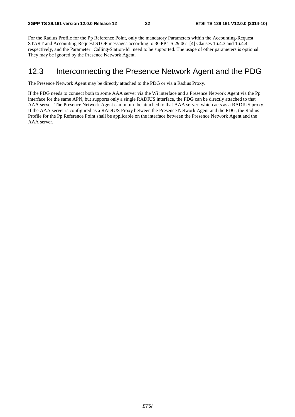For the Radius Profile for the Pp Reference Point, only the mandatory Parameters within the Accounting-Request START and Accounting-Request STOP messages according to 3GPP TS 29.061 [4] Clauses 16.4.3 and 16.4.4, respectively, and the Parameter "Calling-Station-Id" need to be supported. The usage of other parameters is optional. They may be ignored by the Presence Network Agent.

### 12.3 Interconnecting the Presence Network Agent and the PDG

The Presence Network Agent may be directly attached to the PDG or via a Radius Proxy.

If the PDG needs to connect both to some AAA server via the Wi interface and a Presence Network Agent via the Pp interface for the same APN, but supports only a single RADIUS interface, the PDG can be directly attached to that AAA server. The Presence Network Agent can in turn be attached to that AAA server, which acts as a RADIUS proxy. If the AAA server is configured as a RADIUS Proxy between the Presence Network Agent and the PDG, the Radius Profile for the Pp Reference Point shall be applicable on the interface between the Presence Network Agent and the AAA server.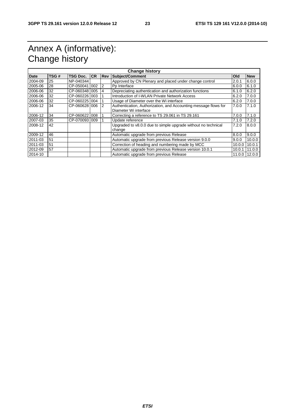# Annex A (informative): Change history

| <b>Change history</b> |      |               |    |                |                                                                                          |        |            |
|-----------------------|------|---------------|----|----------------|------------------------------------------------------------------------------------------|--------|------------|
| <b>Date</b>           | TSG# | TSG Doc.      | CR | <b>Rev</b>     | <b>Subject/Comment</b>                                                                   | Old    | <b>New</b> |
| 2004-09               | 25   | NP-040344     |    |                | Approved by CN Plenary and placed under change control                                   | 2.0.1  | 6.0.0      |
| 2005-06               | 28   | CP-050041 002 |    | 2              | Pp Interface                                                                             | 6.0.0  | 6.1.0      |
| 2006-06               | 32   | CP-060348 005 |    | 4              | Depreciating authentication and authorization functions                                  | 6.1.0  | 6.2.0      |
| 2006-06               | 32   | CP-060226 003 |    |                | Introduction of I-WLAN Private Network Access                                            | 6.2.0  | 7.0.0      |
| 2006-06               | 32   | CP-0602251004 |    |                | Usage of Diameter over the Wi interface                                                  | 6.2.0  | 7.0.0      |
| 2006-12               | 34   | CP-060628 006 |    | $\overline{2}$ | Authentication, Authorization, and Accounting message flows for<br>Diameter Wi interface | 7.0.0  | 7.1.0      |
| 2006-12               | 34   | CP-0606221008 |    |                | Correcting a reference to TS 29.061 in TS 29.161                                         | 7.0.0  | 7.1.0      |
| 2007-03               | 35   | CP-0700931009 |    |                | Update reference                                                                         | 7.1.0  | 7.2.0      |
| 2008-12               | 42   |               |    |                | Upgraded to v8.0.0 due to simple upgrade without no technical<br>change                  | 7.2.0  | 8.0.0      |
| 2009-12               | 46   |               |    |                | Automatic upgrade from previous Release                                                  | 8.0.0  | 9.0.0      |
| 2011-03               | 51   |               |    |                | Automatic upgrade from previous Release version 9.0.0                                    | 9.0.0  | 10.0.0     |
| 2011-03               | 51   |               |    |                | Correction of heading and numbering made by MCC                                          | 10.0.0 | 10.0.1     |
| 2012-09               | 57   |               |    |                | Automatic upgrade from previous Release version 10.0.1                                   | 10.0.1 | 11.0.0     |
| 2014-10               |      |               |    |                | Automatic upgrade from previous Release                                                  | 11.0.0 | 12.0.0     |